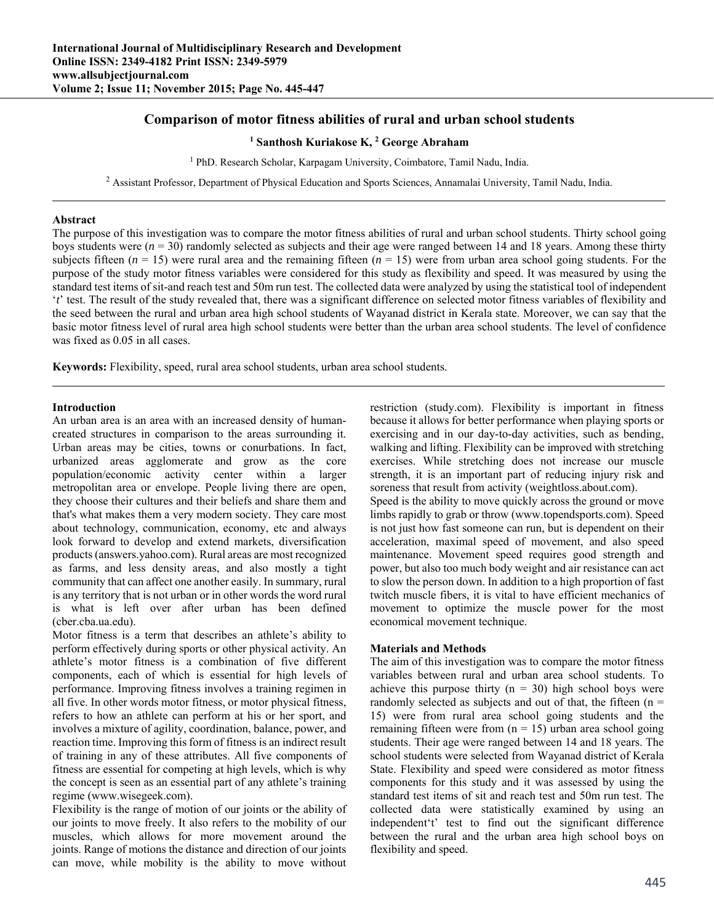# **Comparison of motor fitness abilities of rural and urban school students**

### <sup>1</sup> Santhosh Kuriakose K, <sup>2</sup> George Abraham

<sup>1</sup> PhD. Research Scholar, Karpagam University, Coimbatore, Tamil Nadu, India.

<sup>2</sup> Assistant Professor, Department of Physical Education and Sports Sciences, Annamalai University, Tamil Nadu, India.

### **Abstract**

The purpose of this investigation was to compare the motor fitness abilities of rural and urban school students. Thirty school going boys students were  $(n = 30)$  randomly selected as subjects and their age were ranged between 14 and 18 years. Among these thirty subjects fifteen  $(n = 15)$  were rural area and the remaining fifteen  $(n = 15)$  were from urban area school going students. For the purpose of the study motor fitness variables were considered for this study as flexibility and speed. It was measured by using the standard test items of sit-and reach test and 50m run test. The collected data were analyzed by using the statistical tool of independent '*t*' test. The result of the study revealed that, there was a significant difference on selected motor fitness variables of flexibility and the seed between the rural and urban area high school students of Wayanad district in Kerala state. Moreover, we can say that the basic motor fitness level of rural area high school students were better than the urban area school students. The level of confidence was fixed as 0.05 in all cases.

**Keywords:** Flexibility, speed, rural area school students, urban area school students.

### **Introduction**

An urban area is an area with an increased density of humancreated structures in comparison to the areas surrounding it. Urban areas may be cities, towns or conurbations. In fact, urbanized areas agglomerate and grow as the core population/economic activity center within a larger metropolitan area or envelope. People living there are open, they choose their cultures and their beliefs and share them and that's what makes them a very modern society. They care most about technology, communication, economy, etc and always look forward to develop and extend markets, diversification products (answers.yahoo.com). Rural areas are most recognized as farms, and less density areas, and also mostly a tight community that can affect one another easily. In summary, rural is any territory that is not urban or in other words the word rural is what is left over after urban has been defined (cber.cba.ua.edu).

Motor fitness is a term that describes an athlete's ability to perform effectively during sports or other physical activity. An athlete's motor fitness is a combination of five different components, each of which is essential for high levels of performance. Improving fitness involves a training regimen in all five. In other words motor fitness, or motor physical fitness, refers to how an athlete can perform at his or her sport, and involves a mixture of agility, coordination, balance, power, and reaction time. Improving this form of fitness is an indirect result of training in any of these attributes. All five components of fitness are essential for competing at high levels, which is why the concept is seen as an essential part of any athlete's training regime (www.wisegeek.com).

Flexibility is the range of motion of our joints or the ability of our joints to move freely. It also refers to the mobility of our muscles, which allows for more movement around the joints. Range of motions the distance and direction of our joints can move, while mobility is the ability to move without restriction (study.com). Flexibility is important in fitness because it allows for better performance when playing sports or exercising and in our day-to-day activities, such as bending, walking and lifting. Flexibility can be improved with stretching exercises. While stretching does not increase our muscle strength, it is an important part of reducing injury risk and soreness that result from activity (weightloss.about.com).

Speed is the ability to move quickly across the ground or move limbs rapidly to grab or throw (www.topendsports.com). Speed is not just how fast someone can run, but is dependent on their acceleration, maximal speed of movement, and also speed maintenance. Movement speed requires good strength and power, but also too much body weight and air resistance can act to slow the person down. In addition to a high proportion of fast twitch muscle fibers, it is vital to have efficient mechanics of movement to optimize the muscle power for the most economical movement technique.

### **Materials and Methods**

The aim of this investigation was to compare the motor fitness variables between rural and urban area school students. To achieve this purpose thirty ( $n = 30$ ) high school boys were randomly selected as subjects and out of that, the fifteen  $(n =$ 15) were from rural area school going students and the remaining fifteen were from  $(n = 15)$  urban area school going students. Their age were ranged between 14 and 18 years. The school students were selected from Wayanad district of Kerala State. Flexibility and speed were considered as motor fitness components for this study and it was assessed by using the standard test items of sit and reach test and 50m run test. The collected data were statistically examined by using an independent't' test to find out the significant difference between the rural and the urban area high school boys on flexibility and speed.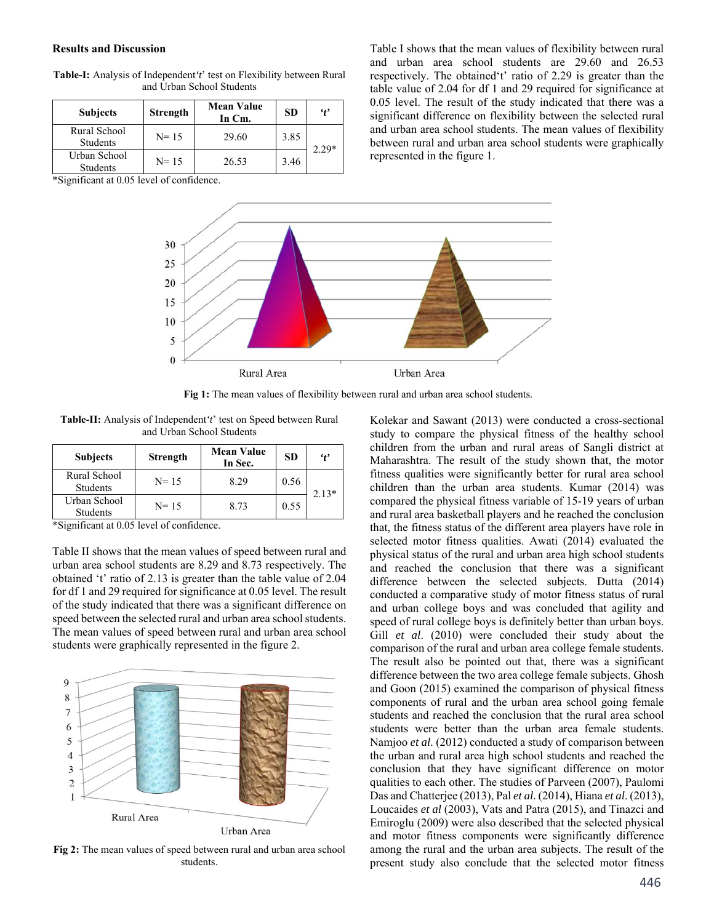#### **Results and Discussion**

| <b>Subjects</b>                 | Strength | <b>Mean Value</b><br>In Cm. | <b>SD</b> | $\cdot$ |
|---------------------------------|----------|-----------------------------|-----------|---------|
| Rural School<br><b>Students</b> | $N = 15$ | 29.60                       | 3.85      | $2.29*$ |
| Urban School<br><b>Students</b> | $N = 15$ | 26.53                       | 3.46      |         |

**Table-Ι:** Analysis of Independent*'t*' test on Flexibility between Rural and Urban School Students

\*Significant at 0.05 level of confidence.

Table I shows that the mean values of flexibility between rural and urban area school students are 29.60 and 26.53 respectively. The obtained't' ratio of 2.29 is greater than the table value of 2.04 for df 1 and 29 required for significance at 0.05 level. The result of the study indicated that there was a significant difference on flexibility between the selected rural and urban area school students. The mean values of flexibility between rural and urban area school students were graphically represented in the figure 1.



**Fig 1:** The mean values of flexibility between rural and urban area school students.

**Table-ΙI:** Analysis of Independent*'t*' test on Speed between Rural and Urban School Students

| <b>Subjects</b>                 | <b>Strength</b> | <b>Mean Value</b><br>In Sec. | <b>SD</b> | $\cdot$ |
|---------------------------------|-----------------|------------------------------|-----------|---------|
| Rural School<br><b>Students</b> | $N = 15$        | 8.29                         | 0.56      | $2.13*$ |
| Urban School<br><b>Students</b> | $N = 15$        | 8.73                         | 0.55      |         |

\*Significant at 0.05 level of confidence.

Table II shows that the mean values of speed between rural and urban area school students are 8.29 and 8.73 respectively. The obtained 't' ratio of 2.13 is greater than the table value of 2.04 for df 1 and 29 required for significance at 0.05 level. The result of the study indicated that there was a significant difference on speed between the selected rural and urban area school students. The mean values of speed between rural and urban area school students were graphically represented in the figure 2.



**Fig 2:** The mean values of speed between rural and urban area school students.

Kolekar and Sawant (2013) were conducted a cross-sectional study to compare the physical fitness of the healthy school children from the urban and rural areas of Sangli district at Maharashtra. The result of the study shown that, the motor fitness qualities were significantly better for rural area school children than the urban area students. Kumar (2014) was compared the physical fitness variable of 15-19 years of urban and rural area basketball players and he reached the conclusion that, the fitness status of the different area players have role in selected motor fitness qualities. Awati (2014) evaluated the physical status of the rural and urban area high school students and reached the conclusion that there was a significant difference between the selected subjects. Dutta (2014) conducted a comparative study of motor fitness status of rural and urban college boys and was concluded that agility and speed of rural college boys is definitely better than urban boys. Gill *et al*. (2010) were concluded their study about the comparison of the rural and urban area college female students. The result also be pointed out that, there was a significant difference between the two area college female subjects. Ghosh and Goon (2015) examined the comparison of physical fitness components of rural and the urban area school going female students and reached the conclusion that the rural area school students were better than the urban area female students. Namjoo *et al*. (2012) conducted a study of comparison between the urban and rural area high school students and reached the conclusion that they have significant difference on motor qualities to each other. The studies of Parveen (2007), Paulomi Das and Chatterjee (2013), Pal *et al*. (2014), Hiana *et al*. (2013), Loucaides *et al* (2003), Vats and Patra (2015), and Tinazci and Emiroglu (2009) were also described that the selected physical and motor fitness components were significantly difference among the rural and the urban area subjects. The result of the present study also conclude that the selected motor fitness